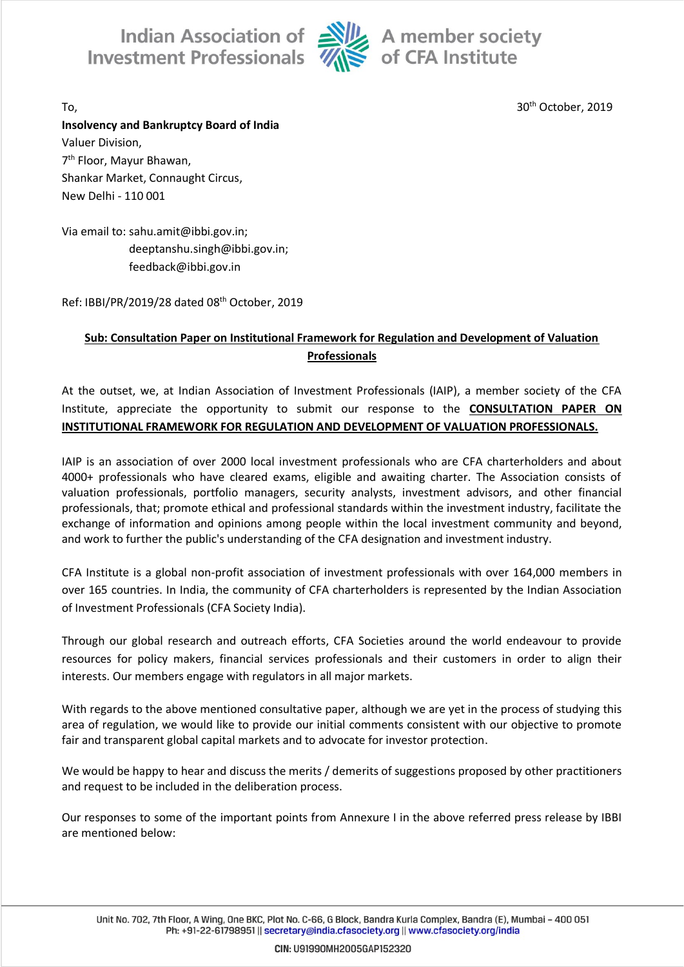

To, 30th October, 2019

**Insolvency and Bankruptcy Board of India** Valuer Division, 7 th Floor, Mayur Bhawan, Shankar Market, Connaught Circus, New Delhi - 110 001

Via email to: sahu.amit@ibbi.gov.in; deeptanshu.singh@ibbi.gov.in; feedback@ibbi.gov.in

Ref: IBBI/PR/2019/28 dated 08th October, 2019

## **Sub: Consultation Paper on Institutional Framework for Regulation and Development of Valuation Professionals**

At the outset, we, at Indian Association of Investment Professionals (IAIP), a member society of the CFA Institute, appreciate the opportunity to submit our response to the **CONSULTATION PAPER ON INSTITUTIONAL FRAMEWORK FOR REGULATION AND DEVELOPMENT OF VALUATION PROFESSIONALS.**

IAIP is an association of over 2000 local investment professionals who are CFA charterholders and about 4000+ professionals who have cleared exams, eligible and awaiting charter. The Association consists of valuation professionals, portfolio managers, security analysts, investment advisors, and other financial professionals, that; promote ethical and professional standards within the investment industry, facilitate the exchange of information and opinions among people within the local investment community and beyond, and work to further the public's understanding of the CFA designation and investment industry.

CFA Institute is a global non-profit association of investment professionals with over 164,000 members in over 165 countries. In India, the community of CFA charterholders is represented by the Indian Association of Investment Professionals (CFA Society India).

Through our global research and outreach efforts, CFA Societies around the world endeavour to provide resources for policy makers, financial services professionals and their customers in order to align their interests. Our members engage with regulators in all major markets.

With regards to the above mentioned consultative paper, although we are yet in the process of studying this area of regulation, we would like to provide our initial comments consistent with our objective to promote fair and transparent global capital markets and to advocate for investor protection.

We would be happy to hear and discuss the merits / demerits of suggestions proposed by other practitioners and request to be included in the deliberation process.

Our responses to some of the important points from Annexure I in the above referred press release by IBBI are mentioned below:

Unit No. 702, 7th Floor, A Wing, One BKC, Plot No. C-66, G Block, Bandra Kurla Complex, Bandra (E), Mumbai - 400 051 Ph: +91-22-61798951 || secretary@india.cfasociety.org || www.cfasociety.org/india

CIN: U91990MH2005GAP152320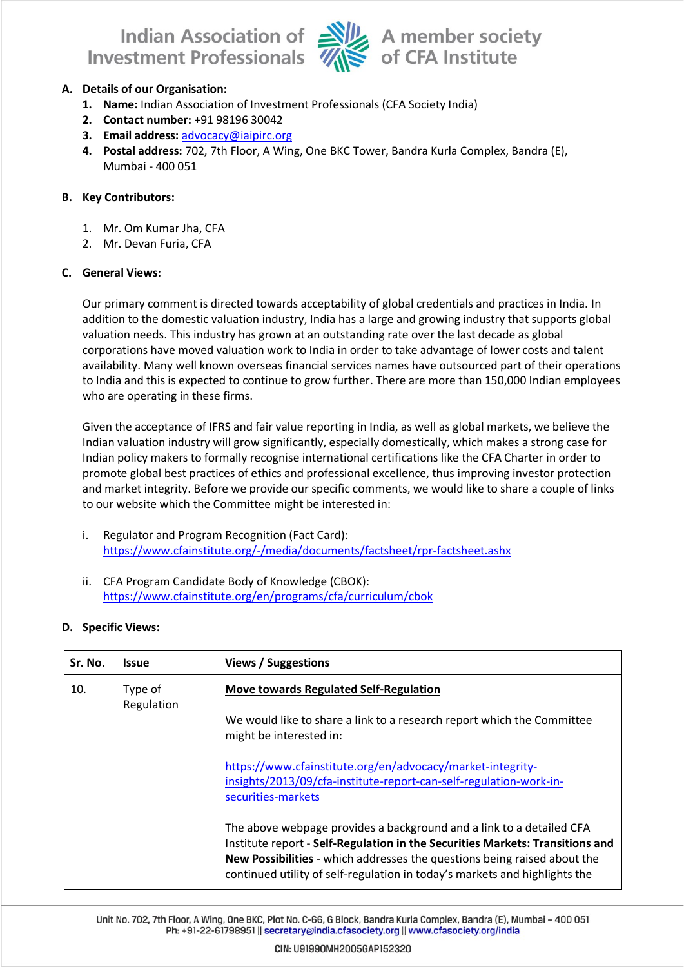

### **A. Details of our Organisation:**

- **1. Name:** Indian Association of Investment Professionals (CFA Society India)
- **2. Contact number:** +91 98196 30042
- **3. Email address:** [advocacy@iaipirc.org](mailto:advocacy@iaipirc.org)
- **4. Postal address:** 702, 7th Floor, A Wing, One BKC Tower, Bandra Kurla Complex, Bandra (E), Mumbai - 400 051

#### **B. Key Contributors:**

- 1. Mr. Om Kumar Jha, CFA
- 2. Mr. Devan Furia, CFA

#### **C. General Views:**

Our primary comment is directed towards acceptability of global credentials and practices in India. In addition to the domestic valuation industry, India has a large and growing industry that supports global valuation needs. This industry has grown at an outstanding rate over the last decade as global corporations have moved valuation work to India in order to take advantage of lower costs and talent availability. Many well known overseas financial services names have outsourced part of their operations to India and this is expected to continue to grow further. There are more than 150,000 Indian employees who are operating in these firms.

Given the acceptance of IFRS and fair value reporting in India, as well as global markets, we believe the Indian valuation industry will grow significantly, especially domestically, which makes a strong case for Indian policy makers to formally recognise international certifications like the CFA Charter in order to promote global best practices of ethics and professional excellence, thus improving investor protection and market integrity. Before we provide our specific comments, we would like to share a couple of links to our website which the Committee might be interested in:

- i. Regulator and Program Recognition (Fact Card): <https://www.cfainstitute.org/-/media/documents/factsheet/rpr-factsheet.ashx>
- ii. CFA Program Candidate Body of Knowledge (CBOK): <https://www.cfainstitute.org/en/programs/cfa/curriculum/cbok>

#### **D. Specific Views:**

| Sr. No. | <b>Issue</b>          | <b>Views / Suggestions</b>                                                                                                                                                                                                                                                                                      |
|---------|-----------------------|-----------------------------------------------------------------------------------------------------------------------------------------------------------------------------------------------------------------------------------------------------------------------------------------------------------------|
| 10.     | Type of<br>Regulation | <b>Move towards Regulated Self-Regulation</b>                                                                                                                                                                                                                                                                   |
|         |                       | We would like to share a link to a research report which the Committee<br>might be interested in:                                                                                                                                                                                                               |
|         |                       | https://www.cfainstitute.org/en/advocacy/market-integrity-<br>insights/2013/09/cfa-institute-report-can-self-regulation-work-in-<br>securities-markets                                                                                                                                                          |
|         |                       | The above webpage provides a background and a link to a detailed CFA<br>Institute report - Self-Regulation in the Securities Markets: Transitions and<br>New Possibilities - which addresses the questions being raised about the<br>continued utility of self-regulation in today's markets and highlights the |

Unit No. 702, 7th Floor, A Wing, One BKC, Plot No. C-66, G Block, Bandra Kurla Complex, Bandra (E), Mumbai - 400 051 Ph: +91-22-61798951 || secretary@india.cfasociety.org || www.cfasociety.org/india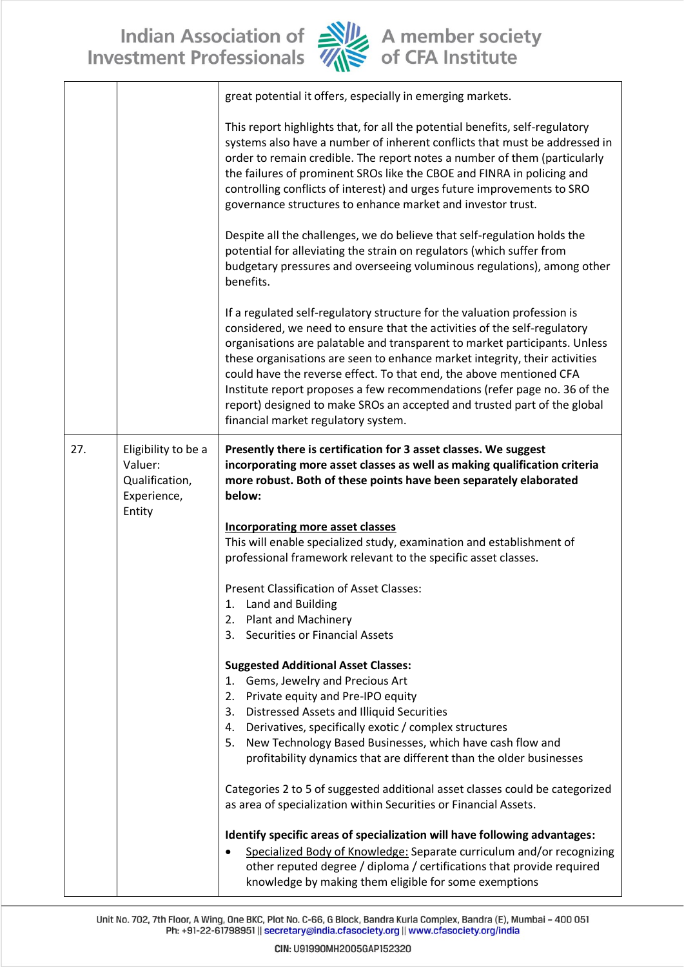

|     |                                                                           | great potential it offers, especially in emerging markets.                                                                                                                                                                                                                                                                                                                                                                                                                                                                                                                              |
|-----|---------------------------------------------------------------------------|-----------------------------------------------------------------------------------------------------------------------------------------------------------------------------------------------------------------------------------------------------------------------------------------------------------------------------------------------------------------------------------------------------------------------------------------------------------------------------------------------------------------------------------------------------------------------------------------|
|     |                                                                           | This report highlights that, for all the potential benefits, self-regulatory<br>systems also have a number of inherent conflicts that must be addressed in<br>order to remain credible. The report notes a number of them (particularly<br>the failures of prominent SROs like the CBOE and FINRA in policing and<br>controlling conflicts of interest) and urges future improvements to SRO<br>governance structures to enhance market and investor trust.                                                                                                                             |
|     |                                                                           | Despite all the challenges, we do believe that self-regulation holds the<br>potential for alleviating the strain on regulators (which suffer from<br>budgetary pressures and overseeing voluminous regulations), among other<br>benefits.                                                                                                                                                                                                                                                                                                                                               |
|     |                                                                           | If a regulated self-regulatory structure for the valuation profession is<br>considered, we need to ensure that the activities of the self-regulatory<br>organisations are palatable and transparent to market participants. Unless<br>these organisations are seen to enhance market integrity, their activities<br>could have the reverse effect. To that end, the above mentioned CFA<br>Institute report proposes a few recommendations (refer page no. 36 of the<br>report) designed to make SROs an accepted and trusted part of the global<br>financial market regulatory system. |
| 27. | Eligibility to be a<br>Valuer:<br>Qualification,<br>Experience,<br>Entity | Presently there is certification for 3 asset classes. We suggest<br>incorporating more asset classes as well as making qualification criteria<br>more robust. Both of these points have been separately elaborated<br>below:                                                                                                                                                                                                                                                                                                                                                            |
|     |                                                                           | <b>Incorporating more asset classes</b><br>This will enable specialized study, examination and establishment of<br>professional framework relevant to the specific asset classes.                                                                                                                                                                                                                                                                                                                                                                                                       |
|     |                                                                           | Present Classification of Asset Classes:<br>Land and Building<br>1.<br><b>Plant and Machinery</b><br>2.<br>Securities or Financial Assets<br>3.                                                                                                                                                                                                                                                                                                                                                                                                                                         |
|     |                                                                           | <b>Suggested Additional Asset Classes:</b><br>Gems, Jewelry and Precious Art<br>1.<br>2.<br>Private equity and Pre-IPO equity                                                                                                                                                                                                                                                                                                                                                                                                                                                           |
|     |                                                                           | <b>Distressed Assets and Illiquid Securities</b><br>3.<br>Derivatives, specifically exotic / complex structures<br>4.<br>New Technology Based Businesses, which have cash flow and<br>5.<br>profitability dynamics that are different than the older businesses                                                                                                                                                                                                                                                                                                                         |
|     |                                                                           | Categories 2 to 5 of suggested additional asset classes could be categorized<br>as area of specialization within Securities or Financial Assets.                                                                                                                                                                                                                                                                                                                                                                                                                                        |
|     |                                                                           | Identify specific areas of specialization will have following advantages:<br>Specialized Body of Knowledge: Separate curriculum and/or recognizing<br>other reputed degree / diploma / certifications that provide required<br>knowledge by making them eligible for some exemptions                                                                                                                                                                                                                                                                                                    |

 $\perp$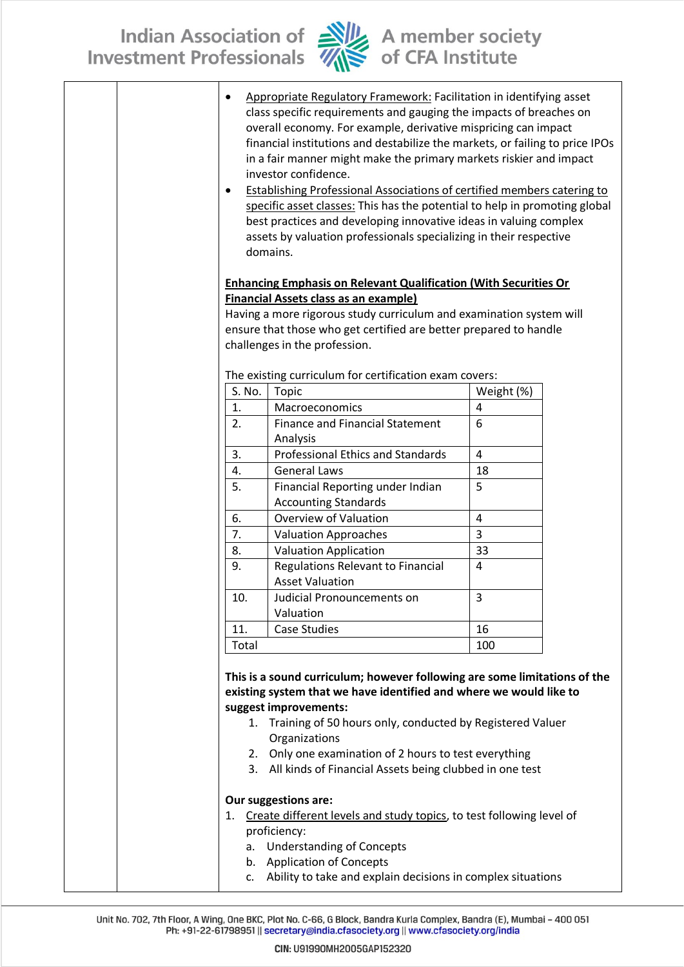

| $\bullet$ | Appropriate Regulatory Framework: Facilitation in identifying asset<br>class specific requirements and gauging the impacts of breaches on<br>overall economy. For example, derivative mispricing can impact<br>financial institutions and destabilize the markets, or failing to price IPOs<br>in a fair manner might make the primary markets riskier and impact<br>investor confidence.<br><b>Establishing Professional Associations of certified members catering to</b><br>specific asset classes: This has the potential to help in promoting global<br>best practices and developing innovative ideas in valuing complex<br>assets by valuation professionals specializing in their respective<br>domains. |            |  |
|-----------|------------------------------------------------------------------------------------------------------------------------------------------------------------------------------------------------------------------------------------------------------------------------------------------------------------------------------------------------------------------------------------------------------------------------------------------------------------------------------------------------------------------------------------------------------------------------------------------------------------------------------------------------------------------------------------------------------------------|------------|--|
|           | <b>Enhancing Emphasis on Relevant Qualification (With Securities Or</b>                                                                                                                                                                                                                                                                                                                                                                                                                                                                                                                                                                                                                                          |            |  |
|           | <b>Financial Assets class as an example)</b><br>Having a more rigorous study curriculum and examination system will                                                                                                                                                                                                                                                                                                                                                                                                                                                                                                                                                                                              |            |  |
|           | ensure that those who get certified are better prepared to handle                                                                                                                                                                                                                                                                                                                                                                                                                                                                                                                                                                                                                                                |            |  |
|           | challenges in the profession.                                                                                                                                                                                                                                                                                                                                                                                                                                                                                                                                                                                                                                                                                    |            |  |
|           |                                                                                                                                                                                                                                                                                                                                                                                                                                                                                                                                                                                                                                                                                                                  |            |  |
|           | The existing curriculum for certification exam covers:                                                                                                                                                                                                                                                                                                                                                                                                                                                                                                                                                                                                                                                           |            |  |
| S. No.    | Topic                                                                                                                                                                                                                                                                                                                                                                                                                                                                                                                                                                                                                                                                                                            | Weight (%) |  |
| 1.        | Macroeconomics                                                                                                                                                                                                                                                                                                                                                                                                                                                                                                                                                                                                                                                                                                   | 4          |  |
| 2.        | <b>Finance and Financial Statement</b>                                                                                                                                                                                                                                                                                                                                                                                                                                                                                                                                                                                                                                                                           | 6          |  |
|           | Analysis                                                                                                                                                                                                                                                                                                                                                                                                                                                                                                                                                                                                                                                                                                         |            |  |
| 3.        | <b>Professional Ethics and Standards</b>                                                                                                                                                                                                                                                                                                                                                                                                                                                                                                                                                                                                                                                                         | 4          |  |
| 4.        | <b>General Laws</b>                                                                                                                                                                                                                                                                                                                                                                                                                                                                                                                                                                                                                                                                                              | 18         |  |
| 5.        | Financial Reporting under Indian                                                                                                                                                                                                                                                                                                                                                                                                                                                                                                                                                                                                                                                                                 | 5          |  |
|           | <b>Accounting Standards</b>                                                                                                                                                                                                                                                                                                                                                                                                                                                                                                                                                                                                                                                                                      |            |  |
| 6.        | <b>Overview of Valuation</b>                                                                                                                                                                                                                                                                                                                                                                                                                                                                                                                                                                                                                                                                                     | 4          |  |
| 7.        | <b>Valuation Approaches</b>                                                                                                                                                                                                                                                                                                                                                                                                                                                                                                                                                                                                                                                                                      | 3          |  |
| 8.        | <b>Valuation Application</b>                                                                                                                                                                                                                                                                                                                                                                                                                                                                                                                                                                                                                                                                                     | 33         |  |
| 9.        | Regulations Relevant to Financial                                                                                                                                                                                                                                                                                                                                                                                                                                                                                                                                                                                                                                                                                | 4          |  |
|           | <b>Asset Valuation</b>                                                                                                                                                                                                                                                                                                                                                                                                                                                                                                                                                                                                                                                                                           |            |  |
| 10.       | Judicial Pronouncements on                                                                                                                                                                                                                                                                                                                                                                                                                                                                                                                                                                                                                                                                                       | 3          |  |
|           | Valuation                                                                                                                                                                                                                                                                                                                                                                                                                                                                                                                                                                                                                                                                                                        |            |  |
| 11.       | <b>Case Studies</b>                                                                                                                                                                                                                                                                                                                                                                                                                                                                                                                                                                                                                                                                                              | 16         |  |
| Total     |                                                                                                                                                                                                                                                                                                                                                                                                                                                                                                                                                                                                                                                                                                                  | 100        |  |
|           |                                                                                                                                                                                                                                                                                                                                                                                                                                                                                                                                                                                                                                                                                                                  |            |  |
|           | This is a sound curriculum; however following are some limitations of the                                                                                                                                                                                                                                                                                                                                                                                                                                                                                                                                                                                                                                        |            |  |
|           | existing system that we have identified and where we would like to                                                                                                                                                                                                                                                                                                                                                                                                                                                                                                                                                                                                                                               |            |  |
|           | suggest improvements:                                                                                                                                                                                                                                                                                                                                                                                                                                                                                                                                                                                                                                                                                            |            |  |
|           | 1. Training of 50 hours only, conducted by Registered Valuer                                                                                                                                                                                                                                                                                                                                                                                                                                                                                                                                                                                                                                                     |            |  |
|           | Organizations                                                                                                                                                                                                                                                                                                                                                                                                                                                                                                                                                                                                                                                                                                    |            |  |
|           | 2. Only one examination of 2 hours to test everything                                                                                                                                                                                                                                                                                                                                                                                                                                                                                                                                                                                                                                                            |            |  |
|           | 3. All kinds of Financial Assets being clubbed in one test                                                                                                                                                                                                                                                                                                                                                                                                                                                                                                                                                                                                                                                       |            |  |
|           | Our suggestions are:                                                                                                                                                                                                                                                                                                                                                                                                                                                                                                                                                                                                                                                                                             |            |  |
|           | 1. Create different levels and study topics, to test following level of                                                                                                                                                                                                                                                                                                                                                                                                                                                                                                                                                                                                                                          |            |  |
|           | proficiency:                                                                                                                                                                                                                                                                                                                                                                                                                                                                                                                                                                                                                                                                                                     |            |  |
| a.        | <b>Understanding of Concepts</b>                                                                                                                                                                                                                                                                                                                                                                                                                                                                                                                                                                                                                                                                                 |            |  |
|           | b. Application of Concepts                                                                                                                                                                                                                                                                                                                                                                                                                                                                                                                                                                                                                                                                                       |            |  |
|           | c. Ability to take and explain decisions in complex situations                                                                                                                                                                                                                                                                                                                                                                                                                                                                                                                                                                                                                                                   |            |  |
|           |                                                                                                                                                                                                                                                                                                                                                                                                                                                                                                                                                                                                                                                                                                                  |            |  |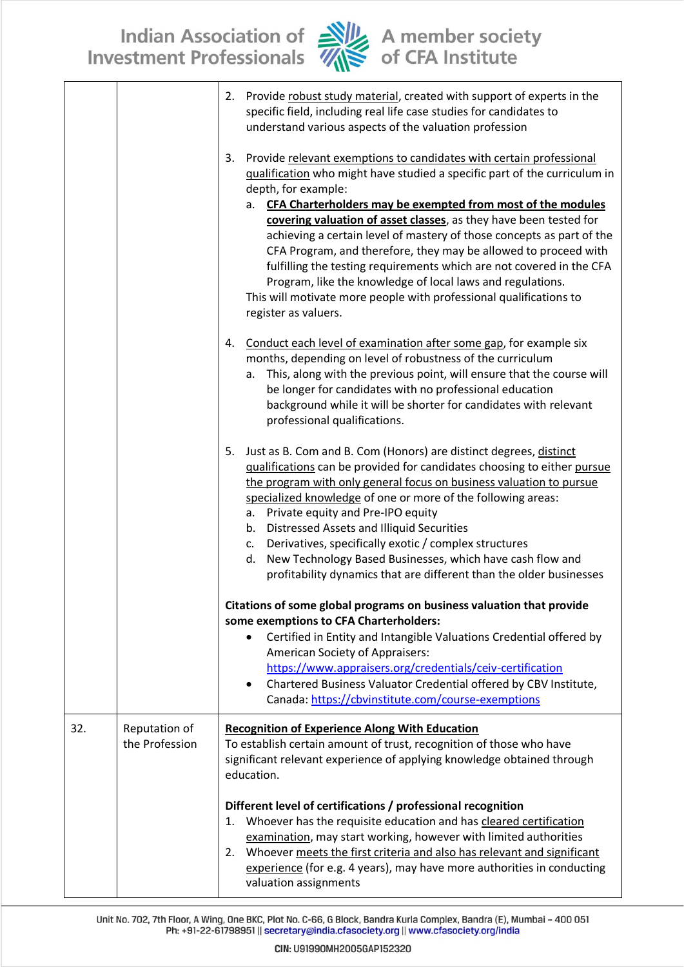

|     |                                 | Provide robust study material, created with support of experts in the<br>2.<br>specific field, including real life case studies for candidates to<br>understand various aspects of the valuation profession                                                                                                                                                                                                                                                                                                                                                                                                                                                                                          |  |
|-----|---------------------------------|------------------------------------------------------------------------------------------------------------------------------------------------------------------------------------------------------------------------------------------------------------------------------------------------------------------------------------------------------------------------------------------------------------------------------------------------------------------------------------------------------------------------------------------------------------------------------------------------------------------------------------------------------------------------------------------------------|--|
|     |                                 | Provide relevant exemptions to candidates with certain professional<br>3.<br>qualification who might have studied a specific part of the curriculum in<br>depth, for example:<br>a. CFA Charterholders may be exempted from most of the modules<br>covering valuation of asset classes, as they have been tested for<br>achieving a certain level of mastery of those concepts as part of the<br>CFA Program, and therefore, they may be allowed to proceed with<br>fulfilling the testing requirements which are not covered in the CFA<br>Program, like the knowledge of local laws and regulations.<br>This will motivate more people with professional qualifications to<br>register as valuers. |  |
|     |                                 | Conduct each level of examination after some gap, for example six<br>4.<br>months, depending on level of robustness of the curriculum<br>This, along with the previous point, will ensure that the course will<br>а.<br>be longer for candidates with no professional education<br>background while it will be shorter for candidates with relevant<br>professional qualifications.                                                                                                                                                                                                                                                                                                                  |  |
|     |                                 | Just as B. Com and B. Com (Honors) are distinct degrees, distinct<br>5.<br>qualifications can be provided for candidates choosing to either pursue<br>the program with only general focus on business valuation to pursue<br>specialized knowledge of one or more of the following areas:<br>a. Private equity and Pre-IPO equity<br>b. Distressed Assets and Illiquid Securities<br>c. Derivatives, specifically exotic / complex structures<br>d. New Technology Based Businesses, which have cash flow and<br>profitability dynamics that are different than the older businesses                                                                                                                 |  |
|     |                                 | Citations of some global programs on business valuation that provide<br>some exemptions to CFA Charterholders:<br>Certified in Entity and Intangible Valuations Credential offered by<br>$\bullet$<br>American Society of Appraisers:<br>https://www.appraisers.org/credentials/ceiv-certification<br>Chartered Business Valuator Credential offered by CBV Institute,<br>Canada: https://cbvinstitute.com/course-exemptions                                                                                                                                                                                                                                                                         |  |
| 32. | Reputation of<br>the Profession | <b>Recognition of Experience Along With Education</b><br>To establish certain amount of trust, recognition of those who have<br>significant relevant experience of applying knowledge obtained through<br>education.                                                                                                                                                                                                                                                                                                                                                                                                                                                                                 |  |
|     |                                 | Different level of certifications / professional recognition<br>Whoever has the requisite education and has cleared certification<br>1.<br>examination, may start working, however with limited authorities<br>2. Whoever meets the first criteria and also has relevant and significant<br>experience (for e.g. 4 years), may have more authorities in conducting<br>valuation assignments                                                                                                                                                                                                                                                                                                          |  |

Unit No. 702, 7th Floor, A Wing, One BKC, Plot No. C-66, G Block, Bandra Kurla Complex, Bandra (E), Mumbai - 400 051<br>Ph: +91-22-61798951 || secretary@india.cfasociety.org || www.cfasociety.org/india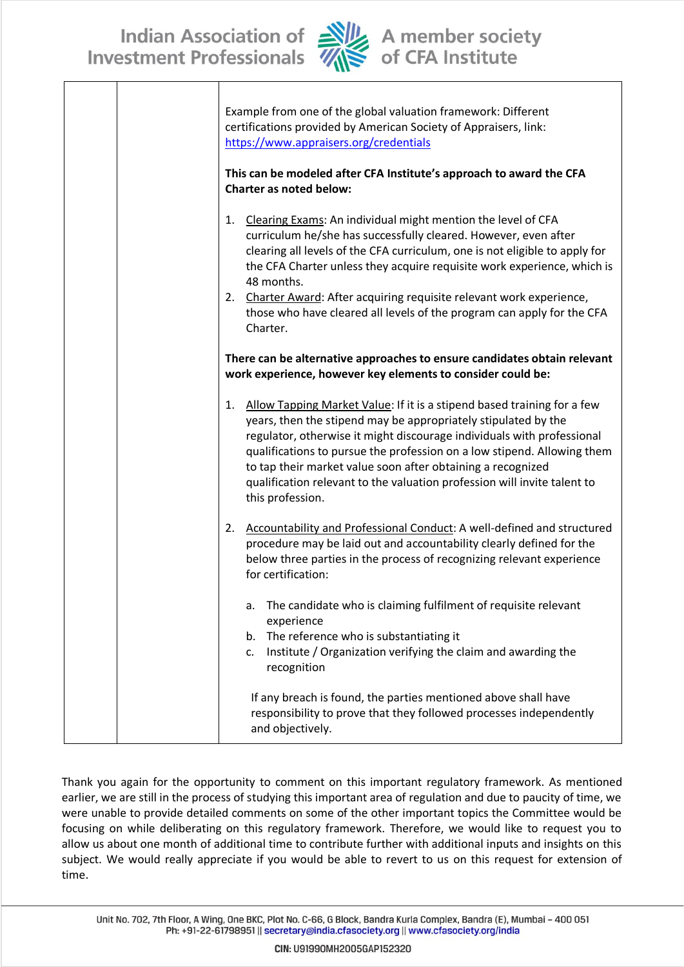

| Example from one of the global valuation framework: Different<br>certifications provided by American Society of Appraisers, link:<br>https://www.appraisers.org/credentials<br>This can be modeled after CFA Institute's approach to award the CFA<br>Charter as noted below:                                                                                                                                                                                                |
|------------------------------------------------------------------------------------------------------------------------------------------------------------------------------------------------------------------------------------------------------------------------------------------------------------------------------------------------------------------------------------------------------------------------------------------------------------------------------|
| Clearing Exams: An individual might mention the level of CFA<br>1.<br>curriculum he/she has successfully cleared. However, even after<br>clearing all levels of the CFA curriculum, one is not eligible to apply for<br>the CFA Charter unless they acquire requisite work experience, which is<br>48 months.<br>2. Charter Award: After acquiring requisite relevant work experience,<br>those who have cleared all levels of the program can apply for the CFA<br>Charter. |
| There can be alternative approaches to ensure candidates obtain relevant<br>work experience, however key elements to consider could be:                                                                                                                                                                                                                                                                                                                                      |
| Allow Tapping Market Value: If it is a stipend based training for a few<br>1.<br>years, then the stipend may be appropriately stipulated by the<br>regulator, otherwise it might discourage individuals with professional<br>qualifications to pursue the profession on a low stipend. Allowing them<br>to tap their market value soon after obtaining a recognized<br>qualification relevant to the valuation profession will invite talent to<br>this profession.          |
| Accountability and Professional Conduct: A well-defined and structured<br>2.<br>procedure may be laid out and accountability clearly defined for the<br>below three parties in the process of recognizing relevant experience<br>for certification:                                                                                                                                                                                                                          |
| The candidate who is claiming fulfilment of requisite relevant<br>а.<br>experience<br>The reference who is substantiating it<br>b.<br>Institute / Organization verifying the claim and awarding the<br>c.<br>recognition                                                                                                                                                                                                                                                     |
| If any breach is found, the parties mentioned above shall have<br>responsibility to prove that they followed processes independently<br>and objectively.                                                                                                                                                                                                                                                                                                                     |

Thank you again for the opportunity to comment on this important regulatory framework. As mentioned earlier, we are still in the process of studying this important area of regulation and due to paucity of time, we were unable to provide detailed comments on some of the other important topics the Committee would be focusing on while deliberating on this regulatory framework. Therefore, we would like to request you to allow us about one month of additional time to contribute further with additional inputs and insights on this subject. We would really appreciate if you would be able to revert to us on this request for extension of time.

Unit No. 702, 7th Floor, A Wing, One BKC, Plot No. C-66, G Block, Bandra Kurla Complex, Bandra (E), Mumbai - 400 051 Ph: +91-22-61798951 || secretary@india.cfasociety.org || www.cfasociety.org/india